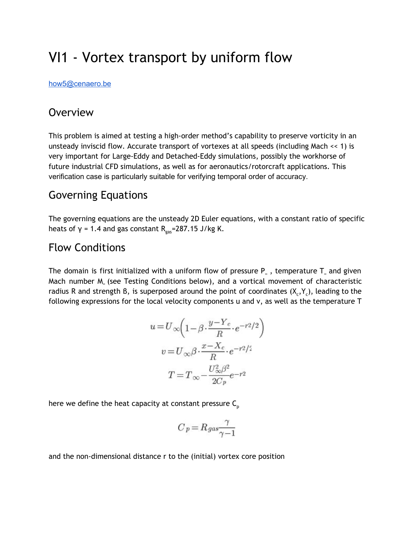# VI1 - Vortex transport by uniform flow

[how5@cenaero.be](mailto:how5@cenaero.be)

### **Overview**

This problem is aimed at testing a high-order method's capability to preserve vorticity in an unsteady inviscid flow. Accurate transport of vortexes at all speeds (including Mach << 1) is very important for Large-Eddy and Detached-Eddy simulations, possibly the workhorse of future industrial CFD simulations, as well as for aeronautics/rotorcraft applications. This verification case is particularly suitable for verifying temporal order of accuracy.

## Governing Equations

The governing equations are the unsteady 2D Euler equations, with a constant ratio of specific heats of  $γ = 1.4$  and gas constant R<sub>gas</sub>=287.15 J/kg K.

## Flow Conditions

The domain is first initialized with a uniform flow of pressure P $_{\circ}$  , temperature T $_{\circ}$  and given Mach number M<sup>∞</sup> (see Testing Conditions below), and a vortical movement of characteristic radius R and strength B, is superposed around the point of coordinates  $(X_c, Y_c)$ , leading to the following expressions for the local velocity components u and v, as well as the temperature T

$$
u = U_{\infty} \left( 1 - \beta \cdot \frac{y - Y_c}{R} \cdot e^{-r^2/2} \right)
$$

$$
v = U_{\infty} \beta \cdot \frac{x - X_c}{R} \cdot e^{-r^2/2}
$$

$$
T = T_{\infty} - \frac{U_{\infty}^2 \beta^2}{2C_p} e^{-r^2}
$$

here we define the heat capacity at constant pressure  $C_p$ 

$$
C_P = R_{gas} \frac{\gamma}{\gamma - 1}
$$

and the non-dimensional distance r to the (initial) vortex core position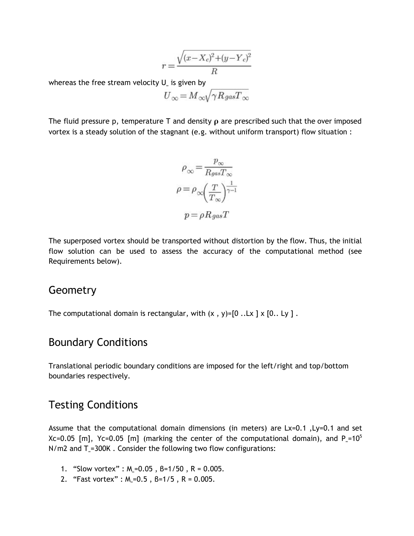$$
r = \frac{\sqrt{(x - X_c)^2 + (y - Y_c)^2}}{R}
$$

whereas the free stream velocity  ${\sf U}_\ast$  is given by

$$
U_{\infty} = M_{\infty} \sqrt{\gamma R_{gas} T_{\infty}}
$$

The fluid pressure p, temperature T and density  $\rho$  are prescribed such that the over imposed vortex is a steady solution of the stagnant (e.g. without uniform transport) flow situation :

$$
\rho_{\infty} = \frac{p_{\infty}}{R_{gas}T_{\infty}}
$$

$$
\rho = \rho_{\infty} \left(\frac{T}{T_{\infty}}\right)^{\frac{1}{\gamma - 1}}
$$

$$
p = \rho R_{gas}T
$$

The superposed vortex should be transported without distortion by the flow. Thus, the initial flow solution can be used to assess the accuracy of the computational method (see Requirements below).

#### **Geometry**

The computational domain is rectangular, with  $(x, y)$ =[0 ..Lx ] x [0.. Ly ].

#### Boundary Conditions

Translational periodic boundary conditions are imposed for the left/right and top/bottom boundaries respectively.

#### Testing Conditions

Assume that the computational domain dimensions (in meters) are Lx=0.1 ,Ly=0.1 and set Xc=0.05 [m], Yc=0.05 [m] (marking the center of the computational domain), and P $_{\circ}$ =10<sup>5</sup> N/m2 and T<sub>∞</sub>=300K. Consider the following two flow configurations:

- 1. "Slow vortex" :  $M_s = 0.05$ ,  $B = 1/50$ ,  $R = 0.005$ .
- 2. "Fast vortex" :  $M_s = 0.5$ ,  $B = 1/5$ ,  $R = 0.005$ .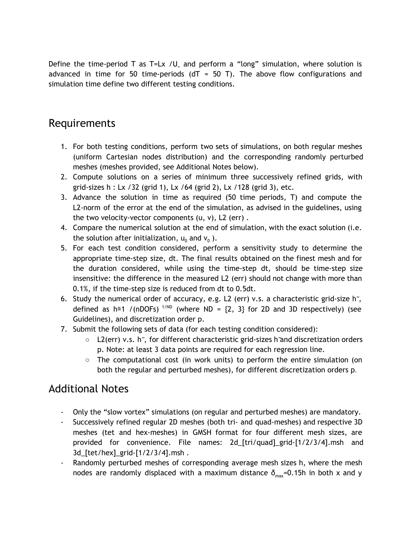Define the time-period T as T=Lx /U<sub>∞</sub> and perform a "long" simulation, where solution is advanced in time for 50 time-periods (dT = 50 T). The above flow configurations and simulation time define two different testing conditions.

## Requirements

- 1. For both testing conditions, perform two sets of simulations, on both regular meshes (uniform Cartesian nodes distribution) and the corresponding randomly perturbed meshes (meshes provided, see Additional Notes below).
- 2. Compute solutions on a series of minimum three successively refined grids, with grid-sizes h : Lx /32 (grid 1), Lx /64 (grid 2), Lx /128 (grid 3), etc.
- 3. Advance the solution in time as required (50 time periods, T) and compute the L2-norm of the error at the end of the simulation, as advised in the guidelines, using the two velocity-vector components  $(u, v)$ , L2 (err).
- 4. Compare the numerical solution at the end of simulation, with the exact solution (i.e. the solution after initialization,  ${\mathsf u}_0$  and  ${\mathsf v}_0$  ).
- 5. For each test condition considered, perform a sensitivity study to determine the appropriate time-step size, dt. The final results obtained on the finest mesh and for the duration considered, while using the time-step dt, should be time-step size insensitive: the difference in the measured L2 (err) should not change with more than 0.1%, if the time-step size is reduced from dt to 0.5dt.
- 6. Study the numerical order of accuracy, e.g. L2 (err) v.s. a characteristic grid-size h $\tilde{\ }$ , defined as  $h \cong 1$  /(nDOFs)<sup>1/ND</sup> (where ND = {2, 3} for 2D and 3D respectively) (see Guidelines), and discretization order p.
- 7. Submit the following sets of data (for each testing condition considered):
	- L2(err) v.s. h~, for different characteristic grid-sizes h~and discretization orders p. Note: at least 3 data points are required for each regression line.
	- $\circ$  The computational cost (in work units) to perform the entire simulation (on both the regular and perturbed meshes), for different discretization orders p.

## Additional Notes

- Only the "slow vortex" simulations (on regular and perturbed meshes) are mandatory.
- Successively refined regular 2D meshes (both tri- and quad-meshes) and respective 3D meshes (tet and hex-meshes) in GMSH format for four different mesh sizes, are provided for convenience. File names: 2d\_[tri/quad]\_grid-[1/2/3/4].msh and 3d\_[tet/hex]\_grid-[1/2/3/4].msh .
- Randomly perturbed meshes of corresponding average mesh sizes h, where the mesh nodes are randomly displaced with a maximum distance  $\delta_{\text{max}}=0.15$ h in both x and y